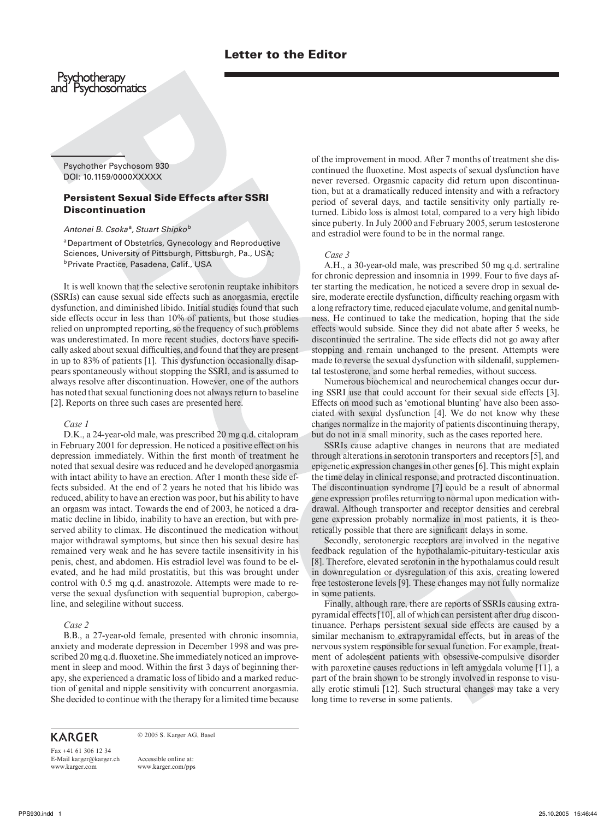Psychother Psychosom 930 DOI: 10.1159/0000XXXXX

# **Persistent Sexual Side Effects after SSRI Discontinuation**

Antonei B. Csoka<sup>a</sup>, Stuart Shipko<sup>b</sup>

<sup>a</sup> Department of Obstetrics, Gynecology and Reproductive Sciences, University of Pittsburgh, Pittsburgh, Pa., USA;<br><sup>b</sup> Private Practice, Pasadena, Calif., USA

It is well known that the selective serotonin reuptake inhibitors (SSRIs) can cause sexual side effects such as anorgasmia, erectile dysfunction, and diminished libido. Initial studies found that such side effects occur in less than 10% of patients, but those studies relied on unprompted reporting, so the frequency of such problems was underestimated. In more recent studies, doctors have specifically asked about sexual difficulties, and found that they are present in up to 83% of patients [1]. This dysfunction occasionally disappears spontaneously without stopping the SSRI, and is assumed to always resolve after discontinuation. However, one of the authors has noted that sexual functioning does not always return to baseline [2]. Reports on three such cases are presented here.

## *Case 1*

**Prophetically the example with the control of the example of the example of the example of the example of the example of the example of the example of the example of the example of the example of the example of the examp** D.K., a 24-year-old male, was prescribed 20 mg q.d. citalopram in February 2001 for depression. He noticed a positive effect on his depression immediately. Within the first month of treatment he noted that sexual desire was reduced and he developed anorgasmia with intact ability to have an erection. After 1 month these side effects subsided. At the end of 2 years he noted that his libido was reduced, ability to have an erection was poor, but his ability to have an orgasm was intact. Towards the end of 2003, he noticed a dramatic decline in libido, inability to have an erection, but with preserved ability to climax. He discontinued the medication without major withdrawal symptoms, but since then his sexual desire has remained very weak and he has severe tactile insensitivity in his penis, chest, and abdomen. His estradiol level was found to be elevated, and he had mild prostatitis, but this was brought under control with 0.5 mg q.d. anastrozole. Attempts were made to reverse the sexual dysfunction with sequential bupropion, cabergoline, and selegiline without success.

### *Case 2*

B.B., a 27-year-old female, presented with chronic insomnia, anxiety and moderate depression in December 1998 and was prescribed 20 mg q.d. fluoxetine. She immediately noticed an improvement in sleep and mood. Within the first 3 days of beginning therapy, she experienced a dramatic loss of libido and a marked reduction of genital and nipple sensitivity with concurrent anorgasmia. She decided to continue with the therapy for a limited time because

© 2005 S. Karger AG, Basel

Fax +41 61 306 12 34 E-Mail karger@karger.ch www.karger.com

Accessible online at: www.karger.com/pps of the improvement in mood. After 7 months of treatment she discontinued the fluoxetine. Most aspects of sexual dysfunction have never reversed. Orgasmic capacity did return upon discontinuation, but at a dramatically reduced intensity and with a refractory period of several days, and tactile sensitivity only partially returned. Libido loss is almost total, compared to a very high libido since puberty. In July 2000 and February 2005, serum testosterone and estradiol were found to be in the normal range.

## *Case 3*

A.H., a 30-year-old male, was prescribed 50 mg q.d. sertraline for chronic depression and insomnia in 1999. Four to five days after starting the medication, he noticed a severe drop in sexual desire, moderate erectile dysfunction, difficulty reaching orgasm with a long refractory time, reduced ejaculate volume, and genital numbness. He continued to take the medication, hoping that the side effects would subside. Since they did not abate after 5 weeks, he discontinued the sertraline. The side effects did not go away after stopping and remain unchanged to the present. Attempts were made to reverse the sexual dysfunction with sildenafil, supplemental testosterone, and some herbal remedies, without success.

Numerous biochemical and neurochemical changes occur during SSRI use that could account for their sexual side effects [3]. Effects on mood such as 'emotional blunting' have also been associated with sexual dysfunction [4]. We do not know why these changes normalize in the majority of patients discontinuing therapy, but do not in a small minority, such as the cases reported here.

SSRIs cause adaptive changes in neurons that are mediated through alterations in serotonin transporters and receptors [5] , and epigenetic expression changes in other genes [6] . This might explain the time delay in clinical response, and protracted discontinuation. The discontinuation syndrome [7] could be a result of abnormal gene expression profiles returning to normal upon medication withdrawal. Although transporter and receptor densities and cerebral gene expression probably normalize in most patients, it is theoretically possible that there are significant delays in some.

Secondly, serotonergic receptors are involved in the negative feedback regulation of the hypothalamic-pituitary-testicular axis [8]. Therefore, elevated serotonin in the hypothalamus could result in downregulation or dysregulation of this axis, creating lowered free testosterone levels [9]. These changes may not fully normalize in some patients.

Finally, although rare, there are reports of SSRIs causing extrapyramidal effects [10], all of which can persistent after drug discontinuance. Perhaps persistent sexual side effects are caused by a similar mechanism to extrapyramidal effects, but in areas of the nervous system responsible for sexual function. For example, treatment of adolescent patients with obsessive-compulsive disorder with paroxetine causes reductions in left amygdala volume [11], a part of the brain shown to be strongly involved in response to visually erotic stimuli [12]. Such structural changes may take a very long time to reverse in some patients.